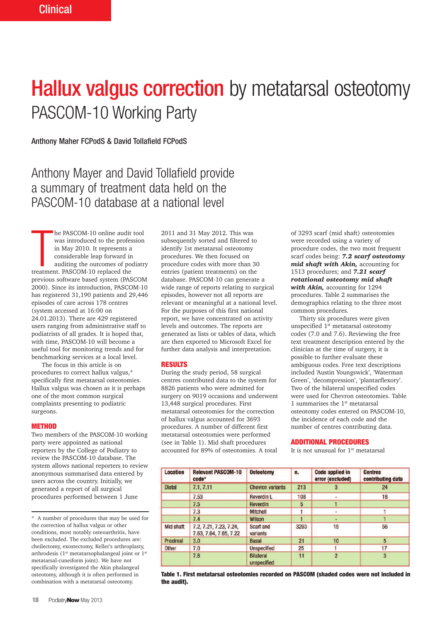# **Hallux valgus correction** by metatarsal osteotomy PASCOM-10 Working Party

Anthony Maher FCPodS & David Tollafield FCPodS

Anthony Mayer and David Tollafield provide a summary of treatment data held on the PASCOM-10 database at a national level

he PASCOM-10 online audit<br>was introduced to the profe<br>in May 2010. It represents a<br>considerable leap forward in<br>auditing the outcomes of po<br>treatment. PASCOM-10 replaced the he PASCOM-10 online audit tool was introduced to the profession in May 2010. It represents a considerable leap forward in auditing the outcomes of podiatry previous software based system (PASCOM 2000). Since its introduction, PASCOM-10 has registered 31,190 patients and 29,446 episodes of care across 178 centres (system accessed at 16:00 on 24.01.2013). There are 429 registered users ranging from administrative staff to podiatrists of all grades. It is hoped that, with time, PASCOM-10 will become a useful tool for monitoring trends and for benchmarking services at a local level.

The focus in this article is on procedures to correct hallux valgus,\* specifically first metatarsal osteotomies. Hallux valgus was chosen as it is perhaps one of the most common surgical complaints presenting to podiatric surgeons.

#### **METHOD**

Two members of the PASCOM-10 working party were appointed as national reporters by the College of Podiatry to review the PASCOM-10 database. The system allows national reporters to review anonymous summarised data entered by users across the country. Initially, we generated a report of all surgical procedures performed between 1 June

A number of procedures that may be used for the correction of hallux valgus or other conditions, most notably osteoarthritis, have been excluded. The excluded procedures are: cheilectomy, exostectomy, Keller's arthroplasty, arthrodesis ( $1<sup>st</sup>$  metatarsophalangeal joint or  $1<sup>st</sup>$ metatarsal-cuneiform joint). We have not specifically investigated the Akin phalangeal osteotomy, although it is often performed in combination with a metatarsal osteotomy.

2011 and 31 May 2012. This was subsequently sorted and filtered to identify 1st metatarsal osteotomy procedures. We then focused on procedure codes with more than 30 entries (patient treatments) on the database. PASCOM-10 can generate a wide range of reports relating to surgical episodes, however not all reports are relevant or meaningful at a national level. For the purposes of this first national report, we have concentrated on activity levels and outcomes. The reports are generated as lists or tables of data, which are then exported to Microsoft Excel for further data analysis and interpretation.

#### **RESULTS**

During the study period, 58 surgical centres contributed data to the system for 8826 patients who were admitted for surgery on 9019 occasions and underwent 13,448 surgical procedures. First metatarsal osteotomies for the correction of hallux valgus accounted for 3693 procedures. A number of different first metatarsal osteotomies were performed (see in Table 1). Mid shaft procedures accounted for 89% of osteotomies. A total

of 3293 scarf (mid shaft) osteotomies were recorded using a variety of procedure codes, the two most frequent scarf codes being: *7.2 scarf osteotomy mid shaft with Akin,* accounting for 1513 procedures; and *7.21 scarf rotational osteotomy mid shaft with Akin,* accounting for 1294 procedures. Table 2 summarises the demographics relating to the three most common procedures.

Thirty six procedures were given unspecified 1st metatarsal osteotomy codes (7.0 and 7.6). Reviewing the free text treatment description entered by the clinician at the time of surgery, it is possible to further evaluate these ambiguous codes. Free text descriptions included 'Austin Youngswick', 'Waterman Green', 'decompression', 'plantarflexory'. Two of the bilateral unspecified codes were used for Chevron osteotomies. Table 1 summarises the 1<sup>st</sup> metatarsal osteotomy codes entered on PASCOM-10, the incidence of each code and the number of centres contributing data.

#### **ADDITIONAL PROCEDURES**

It is not unusual for  $1<sup>st</sup>$  metatarsal

| <b>Location</b> | <b>Relevant PASCOM-10</b><br>code*               | <b>Osteotomy</b>                | n.   | <b>Code applied in</b><br>error (excluded) | <b>Centres</b><br>contributing data |
|-----------------|--------------------------------------------------|---------------------------------|------|--------------------------------------------|-------------------------------------|
| <b>Distal</b>   | 7.1.7.11                                         | <b>Chevron variants</b>         | 213  | 3                                          | 24                                  |
|                 | 7.53                                             | <b>Reverdin L</b>               | 108  |                                            | 18                                  |
|                 | 7.5                                              | <b>Reverdin</b>                 | 5    |                                            |                                     |
|                 | 7.3                                              | <b>Mitchell</b>                 |      | ۰                                          |                                     |
|                 | 7.4                                              | <b>Wilson</b>                   |      |                                            |                                     |
| Mid shaft       | 7.2, 7.21, 7.23, 7.24,<br>7.63, 7.64, 7.65, 7.22 | Scarf and<br>variants           | 3293 | 15                                         | 56                                  |
| Proximal        | 3.0                                              | <b>Basal</b>                    | 21   | 10                                         | 5                                   |
| <b>Other</b>    | 7.0                                              | <b>Unspecified</b>              | 25   |                                            | 17                                  |
|                 | 7.6                                              | <b>Bilateral</b><br>unspecified | 11   | $\overline{2}$                             | 3                                   |

**Table 1. First metatarsal osteotomies recorded on PASCOM (shaded codes were not included in the audit).**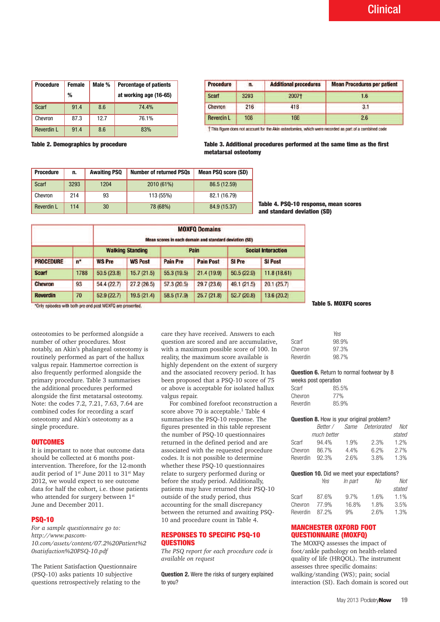| <b>Procedure</b> | <b>Female</b> | Male % | <b>Percentage of patients</b> | <b>Procedure</b>   |
|------------------|---------------|--------|-------------------------------|--------------------|
|                  | %             |        | at working age (16-65)        | Scarf              |
| Scarf            | 91.4          | 8.6    | 74.4%                         | <b>Chevron</b>     |
| Chevron          | 87.3          | 12.7   | 76.1%                         | <b>Reverdin L</b>  |
| Reverdin L       | 91.4          | 8.6    | 83%                           | <b>This figure</b> |

| <b>Procedure</b>  | n.   | <b>Additional procedures</b> | <b>Mean Procedures per patient</b> |
|-------------------|------|------------------------------|------------------------------------|
| Scarf             | 3293 | 2007†                        | 1.6                                |
| <b>Chevron</b>    | 216  | 418                          | 3.1                                |
| <b>Reverdin L</b> | 108  | 166                          | 2.6                                |

ahle 2 Nemographics by procedure

#### **Table 2. Demographics by procedure Table 3. Additional procedures performed at the same time as the first metatarsal osteotomy**  $\mathbf{m}$ this figure does not account for the Akin osteotomies, which were recorded as  $\mathbf{m}$

| <b>Procedure</b> | n.   | <b>Awaiting PSQ</b> | <b>Number of returned PSOs</b> | Mean PSQ score (SD) |
|------------------|------|---------------------|--------------------------------|---------------------|
| Scarf            | 3293 | 1204                | 2010 (61%)                     | 86.5 (12.59)        |
| Chevron          | 214  | 93                  | 113 (55%)                      | 82.1 (16.79)        |
| Reverdin L       | 114  | 30                  | 78 (68%)                       | 84.9 (15.37)        |

**Table 4. PSQ-10 response, mean scores and standard deviation (SD)**

|                  |      | <b>MOXFQ Domains</b><br>Mean scores in each domain and standard deviation (SD) |                |                         |                  |               |                           |  |
|------------------|------|--------------------------------------------------------------------------------|----------------|-------------------------|------------------|---------------|---------------------------|--|
| <b>PROCEDURE</b> | $n*$ |                                                                                |                | <b>Walking Standing</b> | Pain             |               | <b>Social Interaction</b> |  |
|                  |      | <b>WS Pre</b>                                                                  | <b>WS Post</b> | <b>Pain Pre</b>         | <b>Pain Post</b> | <b>SI Pre</b> | <b>SI Post</b>            |  |
| <b>Scarf</b>     | 1788 | 50.5(23.8)                                                                     | 15.7(21.5)     | 55.3(19.5)              | 21.4(19.9)       | 50.5(22.9)    | 11.8(18.61)               |  |
| <b>Chevron</b>   | 93   | 54.4 (22.7)                                                                    | 27.2(26.5)     | 57.3(20.5)              | 29.7(23.6)       | 49.1 (21.5)   | 20.1(25.7)                |  |
| <b>Reverdin</b>  | 70   | 52.9(22.7)                                                                     | 19.5(21.4)     | 58.5 (17.9)             | 25.7(21.8)       | 52.7(20.8)    | 13.6(20.2)                |  |

\*Only episodes with both pre and post MOXFQ are presented.

osteotomies to be performed alongside a number of other procedures. Most notably, an Akin's phalangeal osteotomy is routinely performed as part of the hallux valgus repair. Hammertoe correction is also frequently performed alongside the primary procedure. Table 3 summarises the additional procedures performed alongside the first metatarsal osteotomy. Note: the codes 7.2, 7.21, 7.63, 7.64 are combined codes for recording a scarf osteotomy and Akin's osteotomy as a single procedure.

#### **OUTCOMES**

It is important to note that outcome data should be collected at 6 months postintervention. Therefore, for the 12-month audit period of 1st June 2011 to 31st May 2012, we would expect to see outcome data for half the cohort, i.e. those patients who attended for surgery between 1<sup>st</sup> June and December 2011.

#### **PSQ-10**

*For a sample questionnaire go to: http://www.pascom-10.com/assets/content/07.2%20Patient%2 0satisfaction%20PSQ-10.pdf*

The Patient Satisfaction Questionnaire (PSQ-10) asks patients 10 subjective questions retrospectively relating to the care they have received. Answers to each question are scored and are accumulative, with a maximum possible score of 100. In reality, the maximum score available is highly dependent on the extent of surgery and the associated recovery period. It has been proposed that a PSQ-10 score of 75 or above is acceptable for isolated hallux valgus repair.

For combined forefoot reconstruction a score above 70 is acceptable.<sup>1</sup> Table 4 summarises the PSQ-10 response. The figures presented in this table represent the number of PSQ-10 questionnaires returned in the defined period and are associated with the requested procedure codes. It is not possible to determine whether these PSQ-10 questionnaires relate to surgery performed during or before the study period. Additionally, patients may have returned their PSQ-10 outside of the study period, thus accounting for the small discrepancy between the returned and awaiting PSQ-10 and procedure count in Table 4.

#### **RESPONSES TO SPECIFIC PSQ-10 QUESTIONS**

*The PSQ report for each procedure code is available on request*

**Question 2.** Were the risks of surgery explained to you?

**Table 5. MOXFQ scores**

|          | Yes   |
|----------|-------|
| Scarf    | 98.9% |
| Chevron  | 97.3% |
| Reverdin | 98.7% |

**Question 6.** Return to normal footwear by 8 weeks nost operation

| Scarf    | 85.5% |
|----------|-------|
| Chevron  | 77%   |
| Reverdin | 85.9% |

#### **Question 8.** How is your original problem?

|          | Better /    |      | Same Deteriorated | Not    |
|----------|-------------|------|-------------------|--------|
|          | much better |      |                   | stated |
| Scarf    | $94.4\%$    | 1.9% | 2.3%              | 1.2%   |
| Chevron  | 86.7%       | 4.4% | 6.2%              | 2.7%   |
| Reverdin | 92.3%       | 2.6% | 3.8%              | 1.3%   |

|     | <b>Question 10.</b> Did we meet your expectations? |    |     |
|-----|----------------------------------------------------|----|-----|
| Yes | <i>In part</i>                                     | Νo | No. |
|     |                                                    |    |     |

|          |       |         |      | stated |
|----------|-------|---------|------|--------|
| Scarf    | 87.6% | $9.7\%$ | 1.6% | 1.1%   |
| Chevron  | 77.9% | 16.8%   | 1.8% | 3.5%   |
| Reverdin | 87.2% | 9%      | 2.6% | 1.3%   |
|          |       |         |      |        |

### **MANCHESTER OXFORD FOOT QUESTIONNAIRE (MOXFQ)**

The MOXFQ assesses the impact of foot/ankle pathology on health-related quality of life (HRQOL). The instrument assesses three specific domains: walking/standing (WS); pain; social interaction (SI). Each domain is scored out